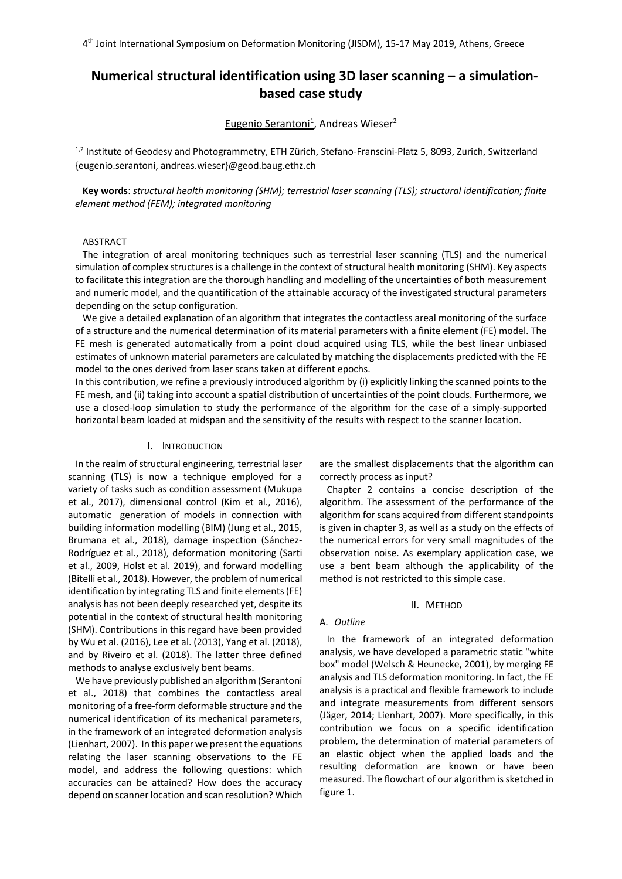# **Numerical structural identification using 3D laser scanning – a simulationbased case study**

# Eugenio Serantoni<sup>1</sup>, Andreas Wieser<sup>2</sup>

<sup>1,2</sup> Institute of Geodesy and Photogrammetry, ETH Zürich, Stefano-Franscini-Platz 5, 8093, Zurich, Switzerland {eugenio.serantoni, andreas.wieser}@geod.baug.ethz.ch

**Key words**: *structural health monitoring (SHM); terrestrial laser scanning (TLS); structural identification; finite element method (FEM); integrated monitoring*

# ABSTRACT

The integration of areal monitoring techniques such as terrestrial laser scanning (TLS) and the numerical simulation of complex structures is a challenge in the context of structural health monitoring (SHM). Key aspects to facilitate this integration are the thorough handling and modelling of the uncertainties of both measurement and numeric model, and the quantification of the attainable accuracy of the investigated structural parameters depending on the setup configuration.

We give a detailed explanation of an algorithm that integrates the contactless areal monitoring of the surface of a structure and the numerical determination of its material parameters with a finite element (FE) model. The FE mesh is generated automatically from a point cloud acquired using TLS, while the best linear unbiased estimates of unknown material parameters are calculated by matching the displacements predicted with the FE model to the ones derived from laser scans taken at different epochs.

In this contribution, we refine a previously introduced algorithm by (i) explicitly linking the scanned points to the FE mesh, and (ii) taking into account a spatial distribution of uncertainties of the point clouds. Furthermore, we use a closed-loop simulation to study the performance of the algorithm for the case of a simply-supported horizontal beam loaded at midspan and the sensitivity of the results with respect to the scanner location.

# I. INTRODUCTION

In the realm of structural engineering, terrestrial laser scanning (TLS) is now a technique employed for a variety of tasks such as condition assessment (Mukupa et al., 2017), dimensional control (Kim et al., 2016), automatic generation of models in connection with building information modelling (BIM) (Jung et al., 2015, Brumana et al., 2018), damage inspection (Sánchez-Rodríguez et al., 2018), deformation monitoring (Sarti et al., 2009, Holst et al. 2019), and forward modelling (Bitelli et al., 2018). However, the problem of numerical identification by integrating TLS and finite elements (FE) analysis has not been deeply researched yet, despite its potential in the context of structural health monitoring (SHM). Contributions in this regard have been provided by Wu et al. (2016), Lee et al. (2013), Yang et al. (2018), and by Riveiro et al. (2018). The latter three defined methods to analyse exclusively bent beams.

We have previously published an algorithm (Serantoni et al., 2018) that combines the contactless areal monitoring of a free-form deformable structure and the numerical identification of its mechanical parameters, in the framework of an integrated deformation analysis (Lienhart, 2007). In this paper we present the equations relating the laser scanning observations to the FE model, and address the following questions: which accuracies can be attained? How does the accuracy depend on scanner location and scan resolution? Which are the smallest displacements that the algorithm can correctly process as input?

Chapter 2 contains a concise description of the algorithm. The assessment of the performance of the algorithm for scans acquired from different standpoints is given in chapter 3, as well as a study on the effects of the numerical errors for very small magnitudes of the observation noise. As exemplary application case, we use a bent beam although the applicability of the method is not restricted to this simple case.

#### II. METHOD

# A. *Outline*

In the framework of an integrated deformation analysis, we have developed a parametric static "white box" model (Welsch & Heunecke, 2001), by merging FE analysis and TLS deformation monitoring. In fact, the FE analysis is a practical and flexible framework to include and integrate measurements from different sensors (Jäger, 2014; Lienhart, 2007). More specifically, in this contribution we focus on a specific identification problem, the determination of material parameters of an elastic object when the applied loads and the resulting deformation are known or have been measured. The flowchart of our algorithm is sketched in figure 1.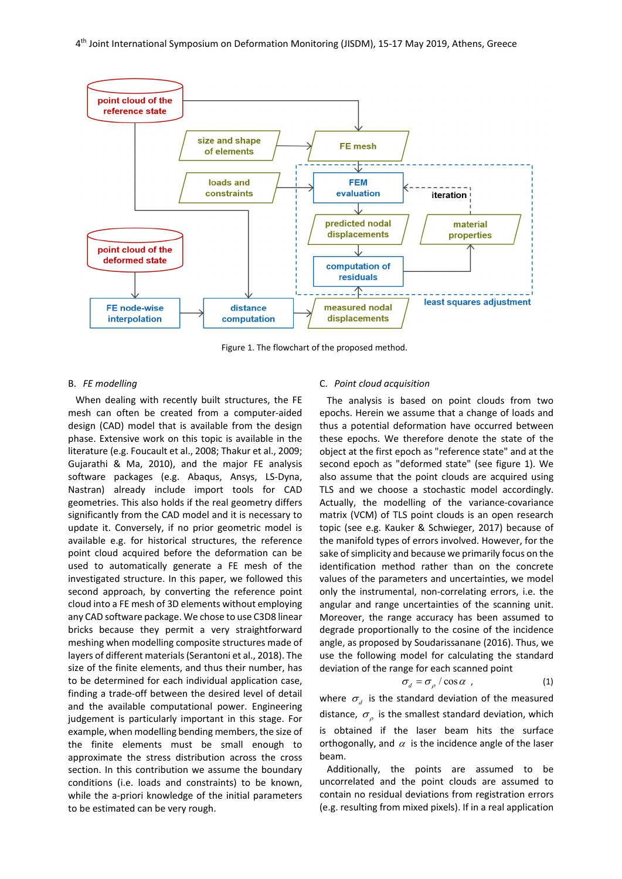

Figure 1. The flowchart of the proposed method.

# B. *FE modelling*

When dealing with recently built structures, the FE mesh can often be created from a computer-aided design (CAD) model that is available from the design phase. Extensive work on this topic is available in the literature (e.g. Foucault et al., 2008; Thakur et al., 2009; Gujarathi & Ma, 2010), and the major FE analysis software packages (e.g. Abaqus, Ansys, LS-Dyna, Nastran) already include import tools for CAD geometries. This also holds if the real geometry differs significantly from the CAD model and it is necessary to update it. Conversely, if no prior geometric model is available e.g. for historical structures, the reference point cloud acquired before the deformation can be used to automatically generate a FE mesh of the investigated structure. In this paper, we followed this second approach, by converting the reference point cloud into a FE mesh of 3D elements without employing any CAD software package. We chose to use C3D8 linear bricks because they permit a very straightforward meshing when modelling composite structures made of layers of different materials(Serantoni et al., 2018). The size of the finite elements, and thus their number, has to be determined for each individual application case, finding a trade-off between the desired level of detail and the available computational power. Engineering judgement is particularly important in this stage. For example, when modelling bending members, the size of the finite elements must be small enough to approximate the stress distribution across the cross section. In this contribution we assume the boundary conditions (i.e. loads and constraints) to be known, while the a-priori knowledge of the initial parameters to be estimated can be very rough.

## C. *Point cloud acquisition*

The analysis is based on point clouds from two epochs. Herein we assume that a change of loads and thus a potential deformation have occurred between these epochs. We therefore denote the state of the object at the first epoch as "reference state" and at the second epoch as "deformed state" (see figure 1). We also assume that the point clouds are acquired using TLS and we choose a stochastic model accordingly. Actually, the modelling of the variance-covariance matrix (VCM) of TLS point clouds is an open research topic (see e.g. Kauker & Schwieger, 2017) because of the manifold types of errors involved. However, for the sake of simplicity and because we primarily focus on the identification method rather than on the concrete values of the parameters and uncertainties, we model only the instrumental, non-correlating errors, i.e. the angular and range uncertainties of the scanning unit. Moreover, the range accuracy has been assumed to degrade proportionally to the cosine of the incidence angle, as proposed by Soudarissanane (2016). Thus, we use the following model for calculating the standard deviation of the range for each scanned point

$$
\sigma_d = \sigma_\rho / \cos \alpha \tag{1}
$$

where  $\sigma_d$  is the standard deviation of the measured distance,  $\sigma_{\rho}$  is the smallest standard deviation, which is obtained if the laser beam hits the surface orthogonally, and  $\alpha$  is the incidence angle of the laser beam.

Additionally, the points are assumed to be uncorrelated and the point clouds are assumed to contain no residual deviations from registration errors (e.g. resulting from mixed pixels). If in a real application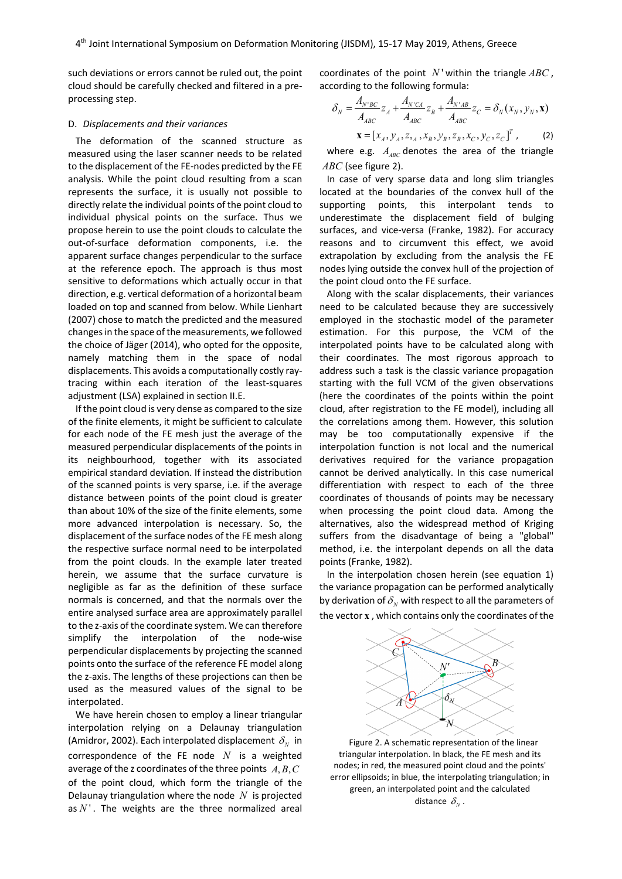such deviations or errors cannot be ruled out, the point cloud should be carefully checked and filtered in a preprocessing step.

# D. *Displacements and their variances*

The deformation of the scanned structure as measured using the laser scanner needs to be related to the displacement of the FE-nodes predicted by the FE analysis. While the point cloud resulting from a scan represents the surface, it is usually not possible to directly relate the individual points of the point cloud to individual physical points on the surface. Thus we propose herein to use the point clouds to calculate the out-of-surface deformation components, i.e. the apparent surface changes perpendicular to the surface at the reference epoch. The approach is thus most sensitive to deformations which actually occur in that direction, e.g. vertical deformation of a horizontal beam loaded on top and scanned from below. While Lienhart (2007) chose to match the predicted and the measured changesin the space of the measurements, we followed the choice of Jäger (2014), who opted for the opposite, namely matching them in the space of nodal displacements. This avoids a computationally costly raytracing within each iteration of the least-squares adjustment (LSA) explained in section II.E.

If the point cloud is very dense as compared to the size of the finite elements, it might be sufficient to calculate for each node of the FE mesh just the average of the measured perpendicular displacements of the points in its neighbourhood, together with its associated empirical standard deviation. If instead the distribution of the scanned points is very sparse, i.e. if the average distance between points of the point cloud is greater than about 10% of the size of the finite elements, some more advanced interpolation is necessary. So, the displacement of the surface nodes of the FE mesh along the respective surface normal need to be interpolated from the point clouds. In the example later treated herein, we assume that the surface curvature is negligible as far as the definition of these surface normals is concerned, and that the normals over the entire analysed surface area are approximately parallel to the z-axis of the coordinate system. We can therefore simplify the interpolation of the node-wise perpendicular displacements by projecting the scanned points onto the surface of the reference FE model along the z-axis. The lengths of these projections can then be used as the measured values of the signal to be interpolated.

We have herein chosen to employ a linear triangular interpolation relying on a Delaunay triangulation (Amidror, 2002). Each interpolated displacement  $\delta_{N}$  in correspondence of the FE node *N* is a weighted average of the z coordinates of the three points  $A, B, C$ of the point cloud, which form the triangle of the Delaunay triangulation where the node *N* is projected as  $N'$ . The weights are the three normalized areal

coordinates of the point  $N'$  within the triangle  $ABC$ , according to the following formula:

$$
\delta_N = \frac{A_{N'BC}}{A_{ABC}} z_A + \frac{A_{N'CA}}{A_{ABC}} z_B + \frac{A_{N'AB}}{A_{ABC}} z_C = \delta_N(x_N, y_N, \mathbf{x})
$$
  

$$
\mathbf{x} = [x_A, y_A, z_{2A}, x_B, y_B, z_B, x_C, y_C, z_C]^T,
$$
 (2)

where e.g.  $A_{ABC}$  denotes the area of the triangle *ABC* (see figure 2).

In case of very sparse data and long slim triangles located at the boundaries of the convex hull of the supporting points, this interpolant tends to underestimate the displacement field of bulging surfaces, and vice-versa (Franke, 1982). For accuracy reasons and to circumvent this effect, we avoid extrapolation by excluding from the analysis the FE nodes lying outside the convex hull of the projection of the point cloud onto the FE surface.

Along with the scalar displacements, their variances need to be calculated because they are successively employed in the stochastic model of the parameter estimation. For this purpose, the VCM of the interpolated points have to be calculated along with their coordinates. The most rigorous approach to address such a task is the classic variance propagation starting with the full VCM of the given observations (here the coordinates of the points within the point cloud, after registration to the FE model), including all the correlations among them. However, this solution may be too computationally expensive if the interpolation function is not local and the numerical derivatives required for the variance propagation cannot be derived analytically. In this case numerical differentiation with respect to each of the three coordinates of thousands of points may be necessary when processing the point cloud data. Among the alternatives, also the widespread method of Kriging suffers from the disadvantage of being a "global" method, i.e. the interpolant depends on all the data points (Franke, 1982).

In the interpolation chosen herein (see equation 1) the variance propagation can be performed analytically by derivation of  $\delta_{N}$  with respect to all the parameters of the vector **x** , which contains only the coordinates of the



Figure 2. A schematic representation of the linear triangular interpolation. In black, the FE mesh and its nodes; in red, the measured point cloud and the points' error ellipsoids; in blue, the interpolating triangulation; in green, an interpolated point and the calculated distance  $\delta_{N}$ .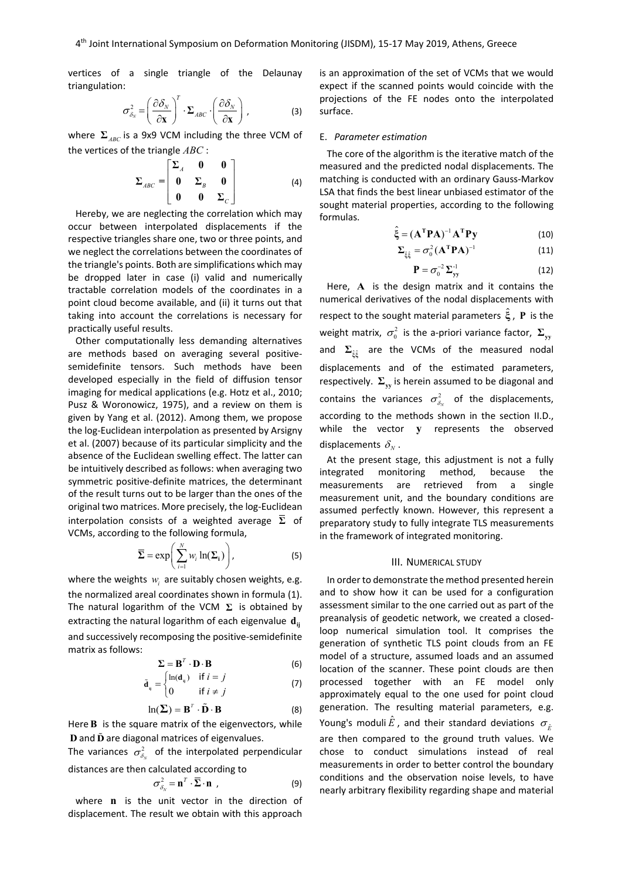vertices of a single triangle of the Delaunay triangulation:

$$
\sigma_{\delta_N}^2 = \left(\frac{\partial \delta_N}{\partial \mathbf{x}}\right)^T \cdot \mathbf{\Sigma}_{ABC} \cdot \left(\frac{\partial \delta_N}{\partial \mathbf{x}}\right), \tag{3}
$$

where  $\Sigma$ <sub>ABC</sub> is a 9x9 VCM including the three VCM of the vertices of the triangle *ABC* :

$$
\Sigma_{ABC} = \begin{bmatrix} \Sigma_A & 0 & 0 \\ 0 & \Sigma_B & 0 \\ 0 & 0 & \Sigma_C \end{bmatrix} \tag{4}
$$

Hereby, we are neglecting the correlation which may occur between interpolated displacements if the respective triangles share one, two or three points, and we neglect the correlations between the coordinates of the triangle's points. Both are simplifications which may be dropped later in case (i) valid and numerically tractable correlation models of the coordinates in a point cloud become available, and (ii) it turns out that taking into account the correlations is necessary for practically useful results.

Other computationally less demanding alternatives are methods based on averaging several positivesemidefinite tensors. Such methods have been developed especially in the field of diffusion tensor imaging for medical applications (e.g. Hotz et al., 2010; Pusz & Woronowicz, 1975), and a review on them is given by Yang et al. (2012). Among them, we propose the log-Euclidean interpolation as presented by Arsigny et al. (2007) because of its particular simplicity and the absence of the Euclidean swelling effect. The latter can be intuitively described as follows: when averaging two symmetric positive-definite matrices, the determinant of the result turns out to be larger than the ones of the original two matrices. More precisely, the log-Euclidean interpolation consists of a weighted average **Σ** of VCMs, according to the following formula,

$$
\overline{\Sigma} = \exp\bigg(\sum_{i=1}^{N} w_i \ln(\Sigma_i)\bigg), \tag{5}
$$

where the weights *w<sub>i</sub>* are suitably chosen weights, e.g. the normalized areal coordinates shown in formula (1). The natural logarithm of the VCM **Σ** is obtained by extracting the natural logarithm of each eigenvalue  $\mathbf{d}_{ii}$ and successively recomposing the positive-semidefinite matrix as follows:

$$
\Sigma = \mathbf{B}^T \cdot \mathbf{D} \cdot \mathbf{B} \tag{6}
$$

$$
\tilde{\mathbf{d}}_{ij} = \begin{cases} \ln(\mathbf{d}_{ij}) & \text{if } i = j \\ 0 & \text{if } i \neq j \end{cases}
$$
 (7)

$$
\ln(\mathbf{\Sigma}) = \mathbf{B}^{\mathrm{T}} \cdot \tilde{\mathbf{D}} \cdot \mathbf{B}
$$
 (8)

Here **B** is the square matrix of the eigenvectors, while **D** and **D** are diagonal matrices of eigenvalues.

The variances  $\sigma_{\delta_{N}}^{2}$  of the interpolated perpendicular distances are then calculated according to

$$
\sigma_{\delta_N}^2 = \mathbf{n}^T \cdot \overline{\Sigma} \cdot \mathbf{n} \tag{9}
$$

where **n** is the unit vector in the direction of displacement. The result we obtain with this approach

is an approximation of the set of VCMs that we would expect if the scanned points would coincide with the projections of the FE nodes onto the interpolated surface.

#### E. *Parameter estimation*

The core of the algorithm is the iterative match of the measured and the predicted nodal displacements. The matching is conducted with an ordinary Gauss-Markov LSA that finds the best linear unbiased estimator of the sought material properties, according to the following formulas.

$$
\hat{\xi} = (\mathbf{A}^{\mathrm{T}} \mathbf{P} \mathbf{A})^{-1} \mathbf{A}^{\mathrm{T}} \mathbf{P} \mathbf{y}
$$
 (10)

$$
\Sigma_{\hat{\xi}\hat{\xi}} = \sigma_0^2 (\mathbf{A}^{\mathrm{T}} \mathbf{P} \mathbf{A})^{-1}
$$
 (11)

$$
\mathbf{P} = \sigma_0^{-2} \, \Sigma_{\mathbf{y} \mathbf{y}}^{-1} \tag{12}
$$

Here, **A** is the design matrix and it contains the numerical derivatives of the nodal displacements with respect to the sought material parameters **ξ** , **<sup>P</sup>** is the weight matrix,  $\sigma_0^2$  is the a-priori variance factor,  $\Sigma_{\rm vy}$ and  $\Sigma_{\hat{\epsilon}\hat{\epsilon}}$  are the VCMs of the measured nodal displacements and of the estimated parameters, respectively.  $\Sigma_{\rm vv}$  is herein assumed to be diagonal and contains the variances  $\sigma_{\delta_N}^2$  of the displacements, according to the methods shown in the section II.D., while the vector **y** represents the observed displacements  $\delta_{N}$ .

At the present stage, this adjustment is not a fully integrated monitoring method, because the measurements are retrieved from a single measurement unit, and the boundary conditions are assumed perfectly known. However, this represent a preparatory study to fully integrate TLS measurements in the framework of integrated monitoring.

#### III. NUMERICAL STUDY

In order to demonstrate the method presented herein and to show how it can be used for a configuration assessment similar to the one carried out as part of the preanalysis of geodetic network, we created a closedloop numerical simulation tool. It comprises the generation of synthetic TLS point clouds from an FE model of a structure, assumed loads and an assumed location of the scanner. These point clouds are then processed together with an FE model only approximately equal to the one used for point cloud generation. The resulting material parameters, e.g. Young's moduli  $\hat{E}$ , and their standard deviations  $\sigma_{\hat{E}}$ are then compared to the ground truth values. We chose to conduct simulations instead of real measurements in order to better control the boundary conditions and the observation noise levels, to have nearly arbitrary flexibility regarding shape and material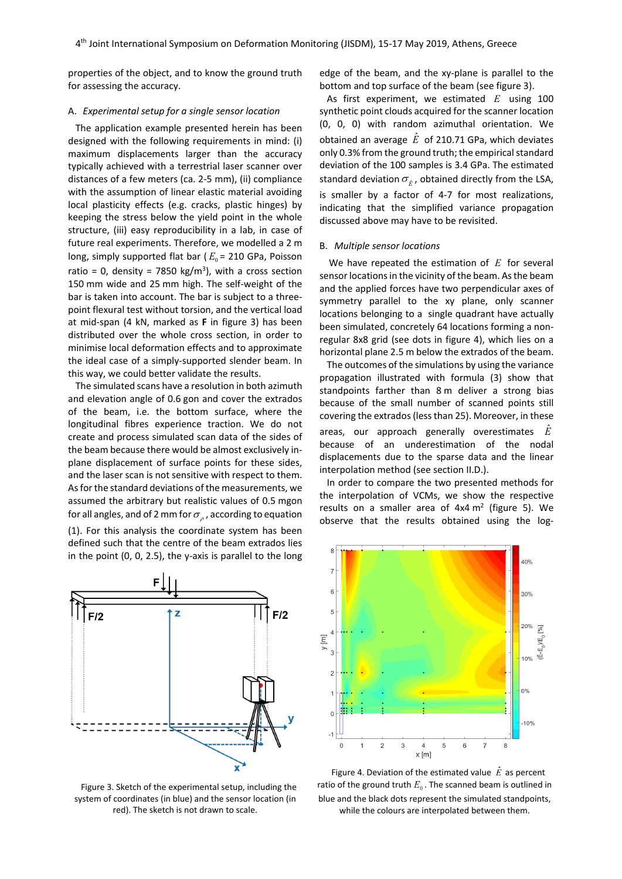properties of the object, and to know the ground truth for assessing the accuracy.

# A. *Experimental setup for a single sensor location*

The application example presented herein has been designed with the following requirements in mind: (i) maximum displacements larger than the accuracy typically achieved with a terrestrial laser scanner over distances of a few meters (ca. 2-5 mm), (ii) compliance with the assumption of linear elastic material avoiding local plasticity effects (e.g. cracks, plastic hinges) by keeping the stress below the yield point in the whole structure, (iii) easy reproducibility in a lab, in case of future real experiments. Therefore, we modelled a 2 m long, simply supported flat bar ( $E_0$  = 210 GPa, Poisson ratio = 0, density = 7850 kg/m<sup>3</sup>), with a cross section 150 mm wide and 25 mm high. The self-weight of the bar is taken into account. The bar is subject to a threepoint flexural test without torsion, and the vertical load at mid-span (4 kN, marked as **F** in figure 3) has been distributed over the whole cross section, in order to minimise local deformation effects and to approximate the ideal case of a simply-supported slender beam. In this way, we could better validate the results.

The simulated scans have a resolution in both azimuth and elevation angle of 0.6 gon and cover the extrados of the beam, i.e. the bottom surface, where the longitudinal fibres experience traction. We do not create and process simulated scan data of the sides of the beam because there would be almost exclusively inplane displacement of surface points for these sides, and the laser scan is not sensitive with respect to them. As for the standard deviations of the measurements, we assumed the arbitrary but realistic values of 0.5 mgon for all angles, and of 2 mm for  $\sigma_{\rho}$ , according to equation (1). For this analysis the coordinate system has been defined such that the centre of the beam extrados lies in the point (0, 0, 2.5), the y-axis is parallel to the long



Figure 3. Sketch of the experimental setup, including the system of coordinates (in blue) and the sensor location (in red). The sketch is not drawn to scale.

edge of the beam, and the xy-plane is parallel to the bottom and top surface of the beam (see figure 3).

As first experiment, we estimated *E* using 100 synthetic point clouds acquired for the scanner location (0, 0, 0) with random azimuthal orientation. We obtained an average  $\hat{E}$  of 210.71 GPa, which deviates only 0.3% from the ground truth; the empirical standard deviation of the 100 samples is 3.4 GPa. The estimated standard deviation  $\sigma_{\hat{r}}$ , obtained directly from the LSA, is smaller by a factor of 4-7 for most realizations, indicating that the simplified variance propagation discussed above may have to be revisited.

# B. *Multiple sensor locations*

We have repeated the estimation of *E* for several sensor locations in the vicinity of the beam. As the beam and the applied forces have two perpendicular axes of symmetry parallel to the xy plane, only scanner locations belonging to a single quadrant have actually been simulated, concretely 64 locations forming a nonregular 8x8 grid (see dots in figure 4), which lies on a horizontal plane 2.5 m below the extrados of the beam.

The outcomes of the simulations by using the variance propagation illustrated with formula (3) show that standpoints farther than 8 m deliver a strong bias because of the small number of scanned points still covering the extrados (less than 25). Moreover, in these areas, our approach generally overestimates  $\hat{E}$ because of an underestimation of the nodal displacements due to the sparse data and the linear interpolation method (see section II.D.).

In order to compare the two presented methods for the interpolation of VCMs, we show the respective results on a smaller area of  $4x4 \text{ m}^2$  (figure 5). We observe that the results obtained using the log-



Figure 4. Deviation of the estimated value  $\hat{E}$  as percent ratio of the ground truth  $E_0$ . The scanned beam is outlined in blue and the black dots represent the simulated standpoints, while the colours are interpolated between them.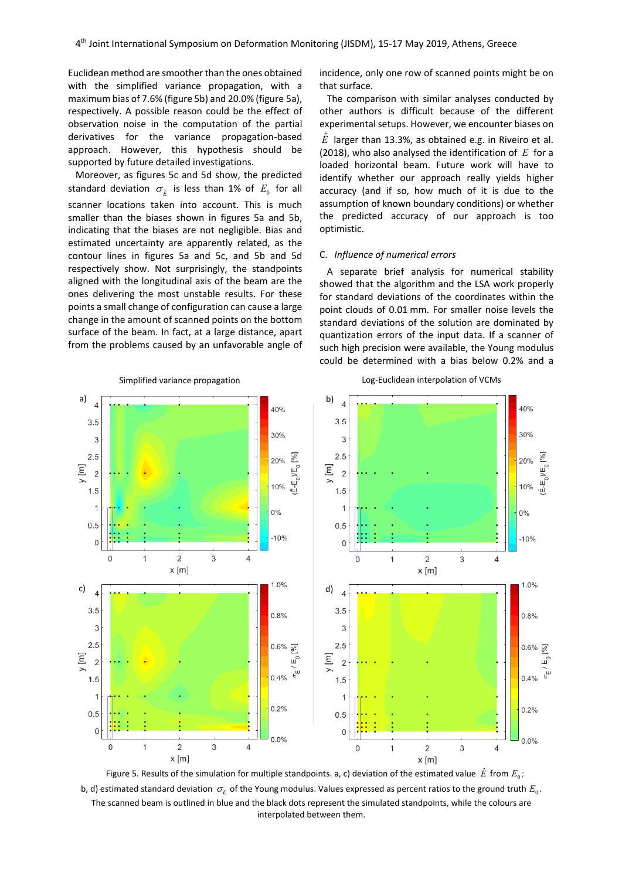Euclidean method are smoother than the ones obtained with the simplified variance propagation, with a maximum bias of 7.6% (figure 5b) and 20.0% (figure 5a), respectively. A possible reason could be the effect of observation noise in the computation of the partial derivatives for the variance propagation-based approach. However, this hypothesis should be supported by future detailed investigations.

Moreover, as figures 5c and 5d show, the predicted standard deviation  $\sigma_{\hat{r}}$  is less than 1% of  $E_0$  for all scanner locations taken into account. This is much smaller than the biases shown in figures 5a and 5b, indicating that the biases are not negligible. Bias and estimated uncertainty are apparently related, as the contour lines in figures 5a and 5c, and 5b and 5d respectively show. Not surprisingly, the standpoints aligned with the longitudinal axis of the beam are the ones delivering the most unstable results. For these points a small change of configuration can cause a large change in the amount of scanned points on the bottom surface of the beam. In fact, at a large distance, apart from the problems caused by an unfavorable angle of incidence, only one row of scanned points might be on that surface.

The comparison with similar analyses conducted by other authors is difficult because of the different experimental setups. However, we encounter biases on  $\hat{E}$  larger than 13.3%, as obtained e.g. in Riveiro et al. (2018), who also analysed the identification of *E* for a loaded horizontal beam. Future work will have to identify whether our approach really yields higher accuracy (and if so, how much of it is due to the assumption of known boundary conditions) or whether the predicted accuracy of our approach is too optimistic.

# C. *Influence of numerical errors*

A separate brief analysis for numerical stability showed that the algorithm and the LSA work properly for standard deviations of the coordinates within the point clouds of 0.01 mm. For smaller noise levels the standard deviations of the solution are dominated by quantization errors of the input data. If a scanner of such high precision were available, the Young modulus could be determined with a bias below 0.2% and a



b, d) estimated standard deviation  $\sigma_E$  of the Young modulus. Values expressed as percent ratios to the ground truth  $E_0$ . The scanned beam is outlined in blue and the black dots represent the simulated standpoints, while the colours are interpolated between them.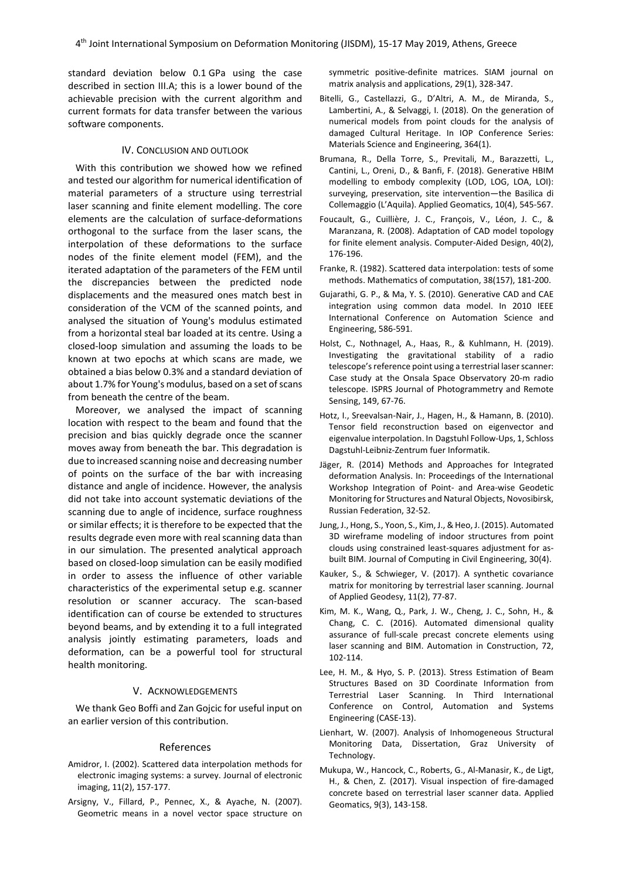standard deviation below 0.1 GPa using the case described in section III.A; this is a lower bound of the achievable precision with the current algorithm and current formats for data transfer between the various software components.

# IV. CONCLUSION AND OUTLOOK

With this contribution we showed how we refined and tested our algorithm for numerical identification of material parameters of a structure using terrestrial laser scanning and finite element modelling. The core elements are the calculation of surface-deformations orthogonal to the surface from the laser scans, the interpolation of these deformations to the surface nodes of the finite element model (FEM), and the iterated adaptation of the parameters of the FEM until the discrepancies between the predicted node displacements and the measured ones match best in consideration of the VCM of the scanned points, and analysed the situation of Young's modulus estimated from a horizontal steal bar loaded at its centre. Using a closed-loop simulation and assuming the loads to be known at two epochs at which scans are made, we obtained a bias below 0.3% and a standard deviation of about 1.7% for Young's modulus, based on a set of scans from beneath the centre of the beam.

Moreover, we analysed the impact of scanning location with respect to the beam and found that the precision and bias quickly degrade once the scanner moves away from beneath the bar. This degradation is due to increased scanning noise and decreasing number of points on the surface of the bar with increasing distance and angle of incidence. However, the analysis did not take into account systematic deviations of the scanning due to angle of incidence, surface roughness or similar effects; it is therefore to be expected that the results degrade even more with real scanning data than in our simulation. The presented analytical approach based on closed-loop simulation can be easily modified in order to assess the influence of other variable characteristics of the experimental setup e.g. scanner resolution or scanner accuracy. The scan-based identification can of course be extended to structures beyond beams, and by extending it to a full integrated analysis jointly estimating parameters, loads and deformation, can be a powerful tool for structural health monitoring.

# V. ACKNOWLEDGEMENTS

We thank Geo Boffi and Zan Gojcic for useful input on an earlier version of this contribution.

# References

- Amidror, I. (2002). Scattered data interpolation methods for electronic imaging systems: a survey. Journal of electronic imaging, 11(2), 157-177.
- Arsigny, V., Fillard, P., Pennec, X., & Ayache, N. (2007). Geometric means in a novel vector space structure on

symmetric positive-definite matrices. SIAM journal on matrix analysis and applications, 29(1), 328-347.

- Bitelli, G., Castellazzi, G., D'Altri, A. M., de Miranda, S., Lambertini, A., & Selvaggi, I. (2018). On the generation of numerical models from point clouds for the analysis of damaged Cultural Heritage. In IOP Conference Series: Materials Science and Engineering, 364(1).
- Brumana, R., Della Torre, S., Previtali, M., Barazzetti, L., Cantini, L., Oreni, D., & Banfi, F. (2018). Generative HBIM modelling to embody complexity (LOD, LOG, LOA, LOI): surveying, preservation, site intervention—the Basilica di Collemaggio (L'Aquila). Applied Geomatics, 10(4), 545-567.
- Foucault, G., Cuillière, J. C., François, V., Léon, J. C., & Maranzana, R. (2008). Adaptation of CAD model topology for finite element analysis. Computer-Aided Design, 40(2), 176-196.
- Franke, R. (1982). Scattered data interpolation: tests of some methods. Mathematics of computation, 38(157), 181-200.
- Gujarathi, G. P., & Ma, Y. S. (2010). Generative CAD and CAE integration using common data model. In 2010 IEEE International Conference on Automation Science and Engineering, 586-591.
- Holst, C., Nothnagel, A., Haas, R., & Kuhlmann, H. (2019). Investigating the gravitational stability of a radio telescope's reference point using a terrestrial laser scanner: Case study at the Onsala Space Observatory 20-m radio telescope. ISPRS Journal of Photogrammetry and Remote Sensing, 149, 67-76.
- Hotz, I., Sreevalsan-Nair, J., Hagen, H., & Hamann, B. (2010). Tensor field reconstruction based on eigenvector and eigenvalue interpolation. In Dagstuhl Follow-Ups, 1, Schloss Dagstuhl-Leibniz-Zentrum fuer Informatik.
- Jäger, R. (2014) Methods and Approaches for Integrated deformation Analysis. In: Proceedings of the International Workshop Integration of Point- and Area-wise Geodetic Monitoring for Structures and Natural Objects, Novosibirsk, Russian Federation, 32-52.
- Jung, J., Hong, S., Yoon, S., Kim, J., & Heo, J. (2015). Automated 3D wireframe modeling of indoor structures from point clouds using constrained least-squares adjustment for asbuilt BIM. Journal of Computing in Civil Engineering, 30(4).
- Kauker, S., & Schwieger, V. (2017). A synthetic covariance matrix for monitoring by terrestrial laser scanning. Journal of Applied Geodesy, 11(2), 77-87.
- Kim, M. K., Wang, Q., Park, J. W., Cheng, J. C., Sohn, H., & Chang, C. C. (2016). Automated dimensional quality assurance of full-scale precast concrete elements using laser scanning and BIM. Automation in Construction, 72, 102-114.
- Lee, H. M., & Hyo, S. P. (2013). Stress Estimation of Beam Structures Based on 3D Coordinate Information from Terrestrial Laser Scanning. In Third International Conference on Control, Automation and Systems Engineering (CASE-13).
- Lienhart, W. (2007). Analysis of Inhomogeneous Structural Monitoring Data, Dissertation, Graz University of Technology.
- Mukupa, W., Hancock, C., Roberts, G., Al-Manasir, K., de Ligt, H., & Chen, Z. (2017). Visual inspection of fire-damaged concrete based on terrestrial laser scanner data. Applied Geomatics, 9(3), 143-158.